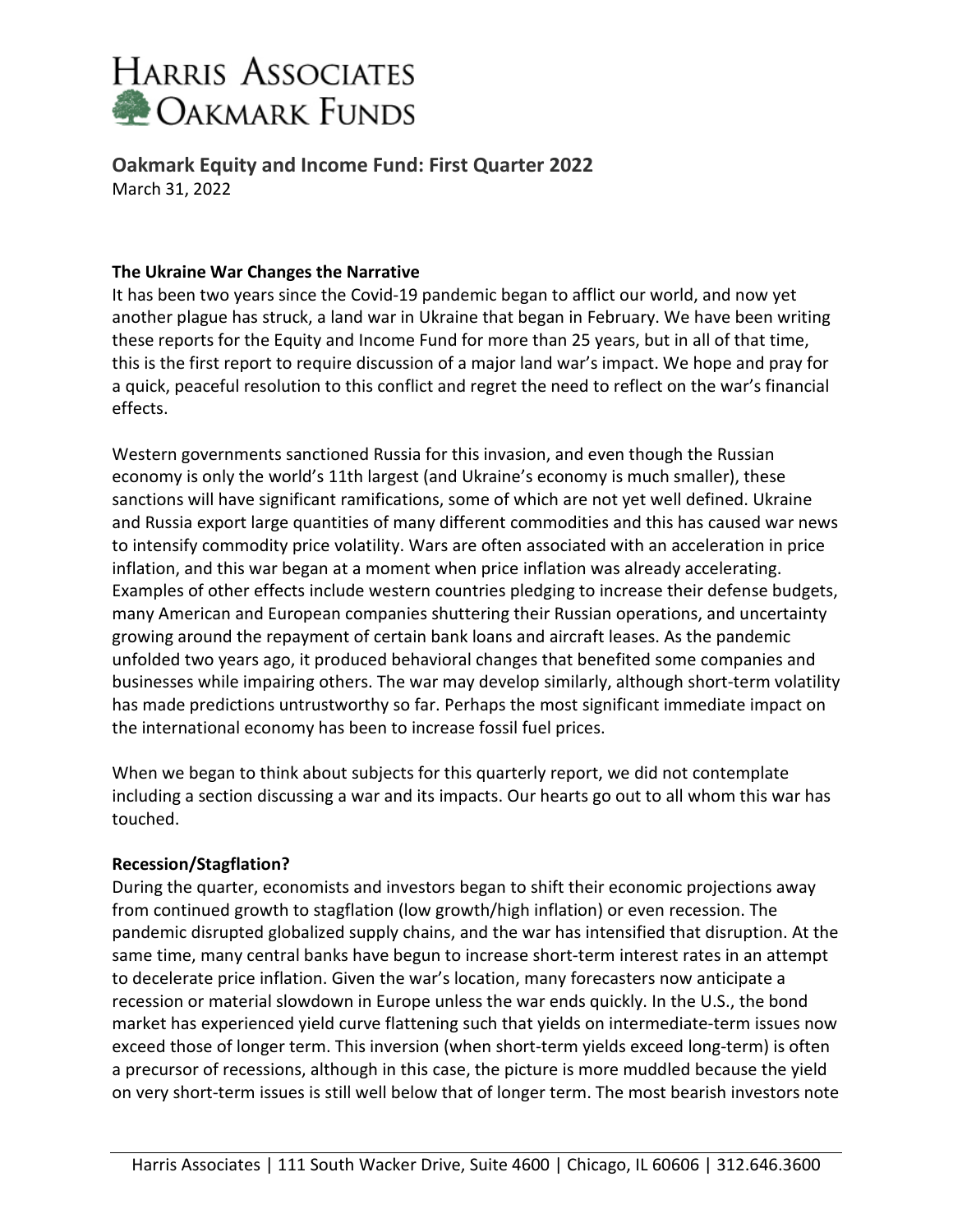

**Oakmark Equity and Income Fund: First Quarter 2022** March 31, 2022

#### **The Ukraine War Changes the Narrative**

It has been two years since the Covid-19 pandemic began to afflict our world, and now yet another plague has struck, a land war in Ukraine that began in February. We have been writing these reports for the Equity and Income Fund for more than 25 years, but in all of that time, this is the first report to require discussion of a major land war's impact. We hope and pray for a quick, peaceful resolution to this conflict and regret the need to reflect on the war's financial effects.

Western governments sanctioned Russia for this invasion, and even though the Russian economy is only the world's 11th largest (and Ukraine's economy is much smaller), these sanctions will have significant ramifications, some of which are not yet well defined. Ukraine and Russia export large quantities of many different commodities and this has caused war news to intensify commodity price volatility. Wars are often associated with an acceleration in price inflation, and this war began at a moment when price inflation was already accelerating. Examples of other effects include western countries pledging to increase their defense budgets, many American and European companies shuttering their Russian operations, and uncertainty growing around the repayment of certain bank loans and aircraft leases. As the pandemic unfolded two years ago, it produced behavioral changes that benefited some companies and businesses while impairing others. The war may develop similarly, although short-term volatility has made predictions untrustworthy so far. Perhaps the most significant immediate impact on the international economy has been to increase fossil fuel prices.

When we began to think about subjects for this quarterly report, we did not contemplate including a section discussing a war and its impacts. Our hearts go out to all whom this war has touched.

#### **Recession/Stagflation?**

During the quarter, economists and investors began to shift their economic projections away from continued growth to stagflation (low growth/high inflation) or even recession. The pandemic disrupted globalized supply chains, and the war has intensified that disruption. At the same time, many central banks have begun to increase short-term interest rates in an attempt to decelerate price inflation. Given the war's location, many forecasters now anticipate a recession or material slowdown in Europe unless the war ends quickly. In the U.S., the bond market has experienced yield curve flattening such that yields on intermediate-term issues now exceed those of longer term. This inversion (when short-term yields exceed long-term) is often a precursor of recessions, although in this case, the picture is more muddled because the yield on very short-term issues is still well below that of longer term. The most bearish investors note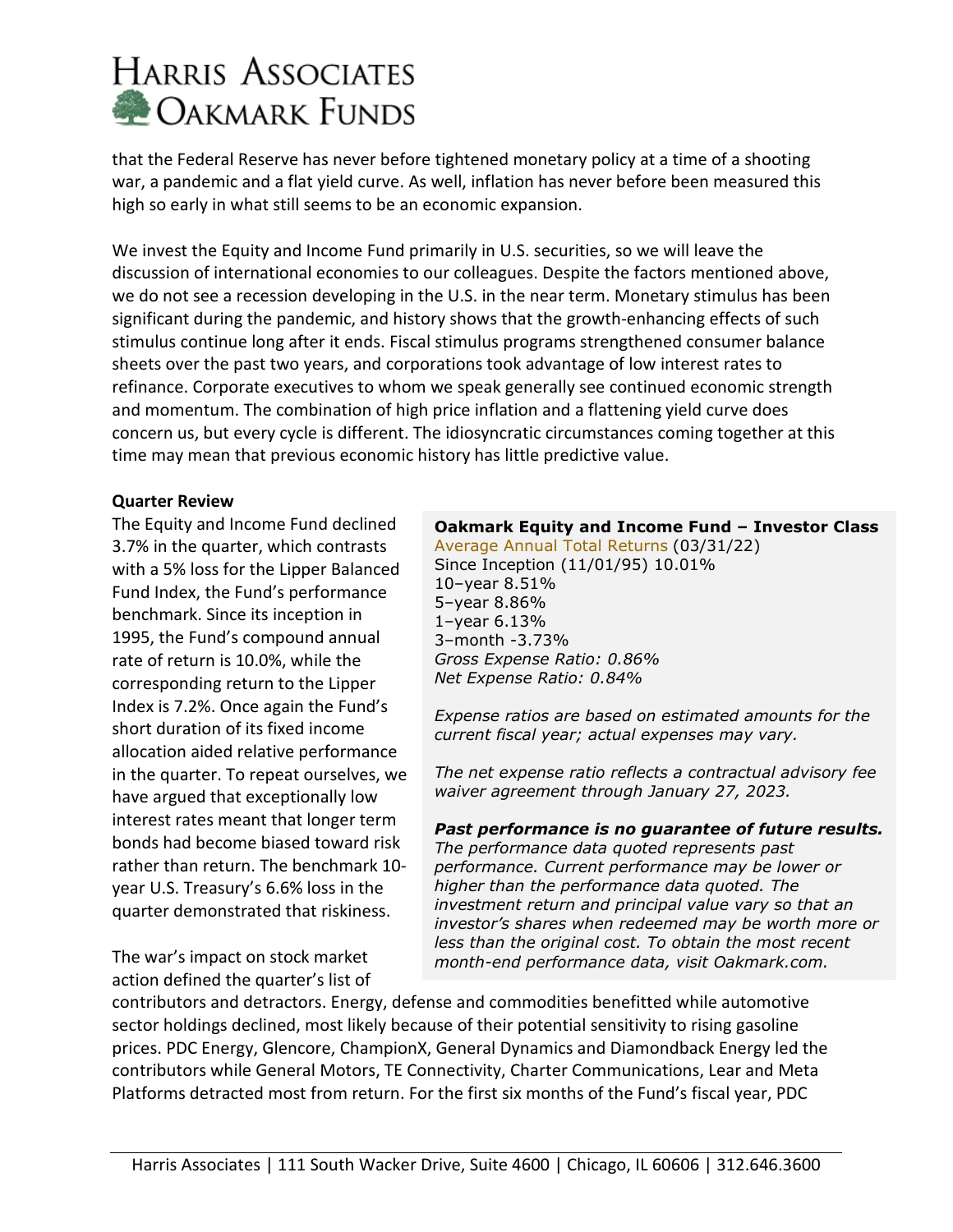that the Federal Reserve has never before tightened monetary policy at a time of a shooting war, a pandemic and a flat yield curve. As well, inflation has never before been measured this high so early in what still seems to be an economic expansion.

We invest the Equity and Income Fund primarily in U.S. securities, so we will leave the discussion of international economies to our colleagues. Despite the factors mentioned above, we do not see a recession developing in the U.S. in the near term. Monetary stimulus has been significant during the pandemic, and history shows that the growth-enhancing effects of such stimulus continue long after it ends. Fiscal stimulus programs strengthened consumer balance sheets over the past two years, and corporations took advantage of low interest rates to refinance. Corporate executives to whom we speak generally see continued economic strength and momentum. The combination of high price inflation and a flattening yield curve does concern us, but every cycle is different. The idiosyncratic circumstances coming together at this time may mean that previous economic history has little predictive value.

### **Quarter Review**

The Equity and Income Fund declined 3.7% in the quarter, which contrasts with a 5% loss for the Lipper Balanced Fund Index, the Fund's performance benchmark. Since its inception in 1995, the Fund's compound annual rate of return is 10.0%, while the corresponding return to the Lipper Index is 7.2%. Once again the Fund's short duration of its fixed income allocation aided relative performance in the quarter. To repeat ourselves, we have argued that exceptionally low interest rates meant that longer term bonds had become biased toward risk rather than return. The benchmark 10 year U.S. Treasury's 6.6% loss in the quarter demonstrated that riskiness.

The war's impact on stock market action defined the quarter's list of

### **Oakmark Equity and Income Fund – Investor Class**

[Average Annual Total Returns](http://www.oakmark.com/funds/family/ff_p.asp?select=Oakmark+Funds) (03/31/22) Since Inception (11/01/95) 10.01% 10–year 8.51% 5–year 8.86% 1–year 6.13% 3–month -3.73% *Gross Expense Ratio: 0.86% Net Expense Ratio: 0.84%*

*Expense ratios are based on estimated amounts for the current fiscal year; actual expenses may vary.*

*The net expense ratio reflects a contractual advisory fee waiver agreement through January 27, 2023.*

### *Past performance is no guarantee of future results.*

*The performance data quoted represents past performance. Current performance may be lower or higher than the performance data quoted. The investment return and principal value vary so that an investor's shares when redeemed may be worth more or less than the original cost. To obtain the most recent month-end performance data, visit Oakmark.com.*

contributors and detractors. Energy, defense and commodities benefitted while automotive sector holdings declined, most likely because of their potential sensitivity to rising gasoline prices. PDC Energy, Glencore, ChampionX, General Dynamics and Diamondback Energy led the contributors while General Motors, TE Connectivity, Charter Communications, Lear and Meta Platforms detracted most from return. For the first six months of the Fund's fiscal year, PDC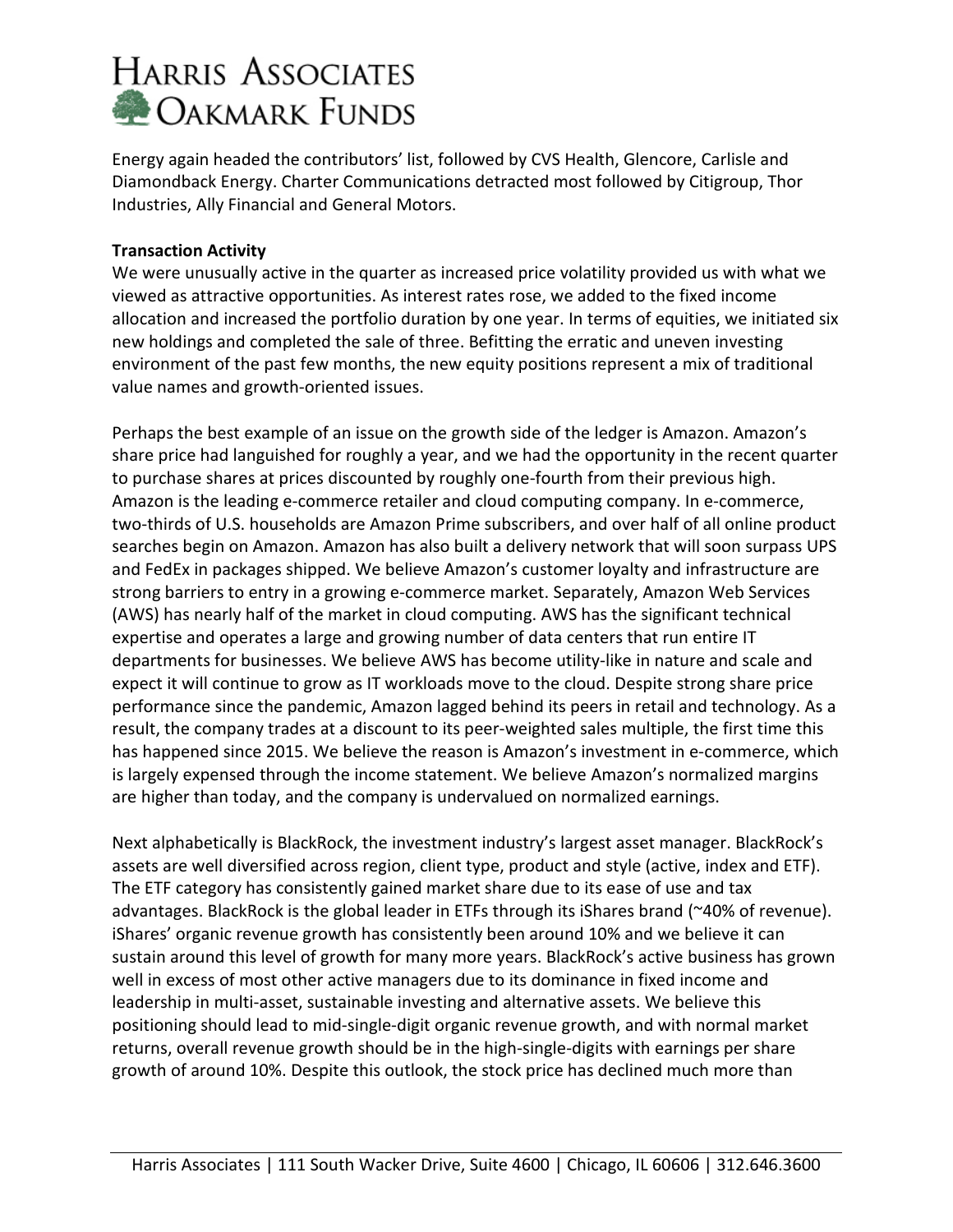Energy again headed the contributors' list, followed by CVS Health, Glencore, Carlisle and Diamondback Energy. Charter Communications detracted most followed by Citigroup, Thor Industries, Ally Financial and General Motors.

### **Transaction Activity**

We were unusually active in the quarter as increased price volatility provided us with what we viewed as attractive opportunities. As interest rates rose, we added to the fixed income allocation and increased the portfolio duration by one year. In terms of equities, we initiated six new holdings and completed the sale of three. Befitting the erratic and uneven investing environment of the past few months, the new equity positions represent a mix of traditional value names and growth-oriented issues.

Perhaps the best example of an issue on the growth side of the ledger is Amazon. Amazon's share price had languished for roughly a year, and we had the opportunity in the recent quarter to purchase shares at prices discounted by roughly one-fourth from their previous high. Amazon is the leading e-commerce retailer and cloud computing company. In e-commerce, two-thirds of U.S. households are Amazon Prime subscribers, and over half of all online product searches begin on Amazon. Amazon has also built a delivery network that will soon surpass UPS and FedEx in packages shipped. We believe Amazon's customer loyalty and infrastructure are strong barriers to entry in a growing e-commerce market. Separately, Amazon Web Services (AWS) has nearly half of the market in cloud computing. AWS has the significant technical expertise and operates a large and growing number of data centers that run entire IT departments for businesses. We believe AWS has become utility-like in nature and scale and expect it will continue to grow as IT workloads move to the cloud. Despite strong share price performance since the pandemic, Amazon lagged behind its peers in retail and technology. As a result, the company trades at a discount to its peer-weighted sales multiple, the first time this has happened since 2015. We believe the reason is Amazon's investment in e-commerce, which is largely expensed through the income statement. We believe Amazon's normalized margins are higher than today, and the company is undervalued on normalized earnings.

Next alphabetically is BlackRock, the investment industry's largest asset manager. BlackRock's assets are well diversified across region, client type, product and style (active, index and ETF). The ETF category has consistently gained market share due to its ease of use and tax advantages. BlackRock is the global leader in ETFs through its iShares brand (~40% of revenue). iShares' organic revenue growth has consistently been around 10% and we believe it can sustain around this level of growth for many more years. BlackRock's active business has grown well in excess of most other active managers due to its dominance in fixed income and leadership in multi-asset, sustainable investing and alternative assets. We believe this positioning should lead to mid-single-digit organic revenue growth, and with normal market returns, overall revenue growth should be in the high-single-digits with earnings per share growth of around 10%. Despite this outlook, the stock price has declined much more than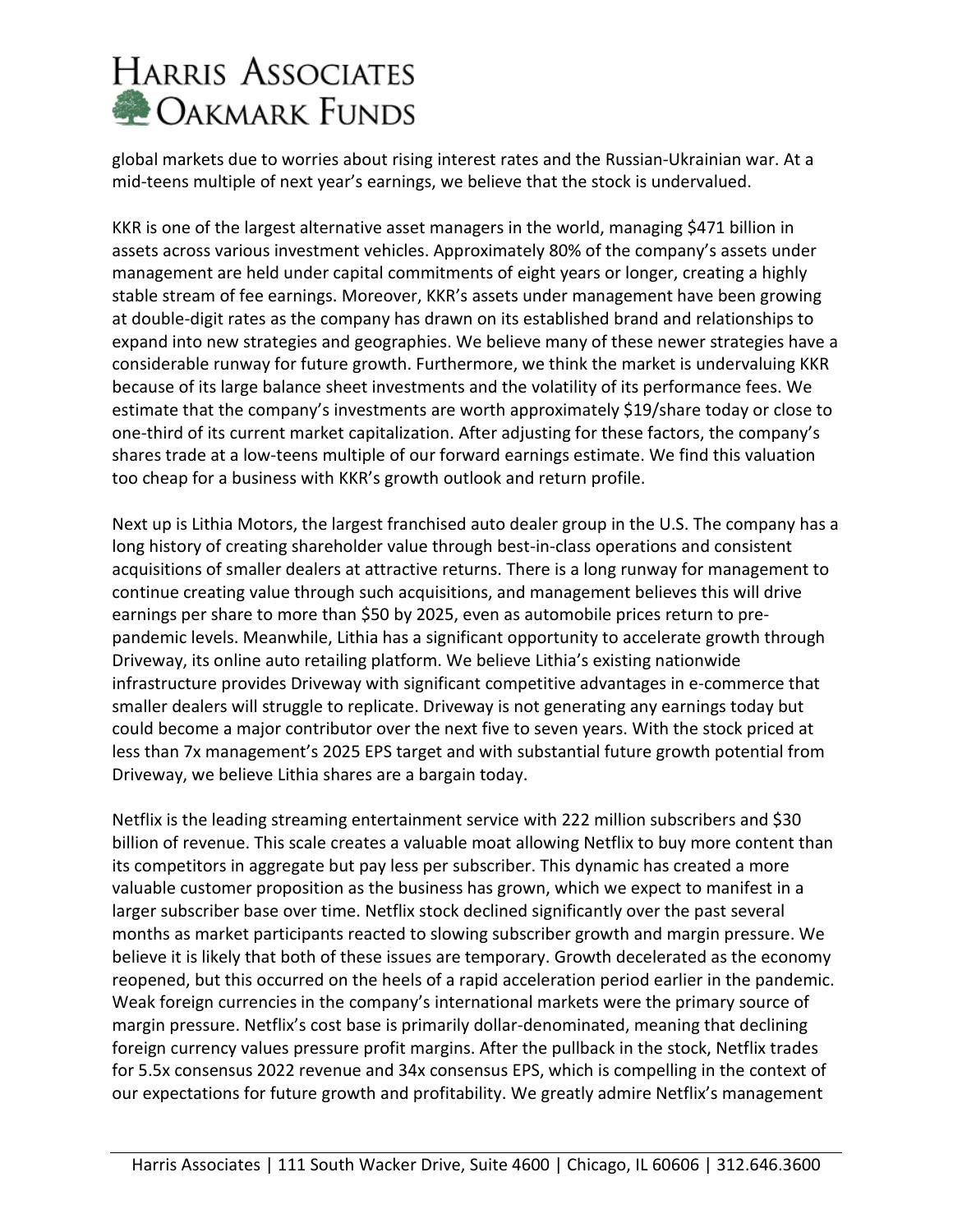global markets due to worries about rising interest rates and the Russian-Ukrainian war. At a mid-teens multiple of next year's earnings, we believe that the stock is undervalued.

KKR is one of the largest alternative asset managers in the world, managing \$471 billion in assets across various investment vehicles. Approximately 80% of the company's assets under management are held under capital commitments of eight years or longer, creating a highly stable stream of fee earnings. Moreover, KKR's assets under management have been growing at double-digit rates as the company has drawn on its established brand and relationships to expand into new strategies and geographies. We believe many of these newer strategies have a considerable runway for future growth. Furthermore, we think the market is undervaluing KKR because of its large balance sheet investments and the volatility of its performance fees. We estimate that the company's investments are worth approximately \$19/share today or close to one-third of its current market capitalization. After adjusting for these factors, the company's shares trade at a low-teens multiple of our forward earnings estimate. We find this valuation too cheap for a business with KKR's growth outlook and return profile.

Next up is Lithia Motors, the largest franchised auto dealer group in the U.S. The company has a long history of creating shareholder value through best-in-class operations and consistent acquisitions of smaller dealers at attractive returns. There is a long runway for management to continue creating value through such acquisitions, and management believes this will drive earnings per share to more than \$50 by 2025, even as automobile prices return to prepandemic levels. Meanwhile, Lithia has a significant opportunity to accelerate growth through Driveway, its online auto retailing platform. We believe Lithia's existing nationwide infrastructure provides Driveway with significant competitive advantages in e-commerce that smaller dealers will struggle to replicate. Driveway is not generating any earnings today but could become a major contributor over the next five to seven years. With the stock priced at less than 7x management's 2025 EPS target and with substantial future growth potential from Driveway, we believe Lithia shares are a bargain today.

Netflix is the leading streaming entertainment service with 222 million subscribers and \$30 billion of revenue. This scale creates a valuable moat allowing Netflix to buy more content than its competitors in aggregate but pay less per subscriber. This dynamic has created a more valuable customer proposition as the business has grown, which we expect to manifest in a larger subscriber base over time. Netflix stock declined significantly over the past several months as market participants reacted to slowing subscriber growth and margin pressure. We believe it is likely that both of these issues are temporary. Growth decelerated as the economy reopened, but this occurred on the heels of a rapid acceleration period earlier in the pandemic. Weak foreign currencies in the company's international markets were the primary source of margin pressure. Netflix's cost base is primarily dollar-denominated, meaning that declining foreign currency values pressure profit margins. After the pullback in the stock, Netflix trades for 5.5x consensus 2022 revenue and 34x consensus EPS, which is compelling in the context of our expectations for future growth and profitability. We greatly admire Netflix's management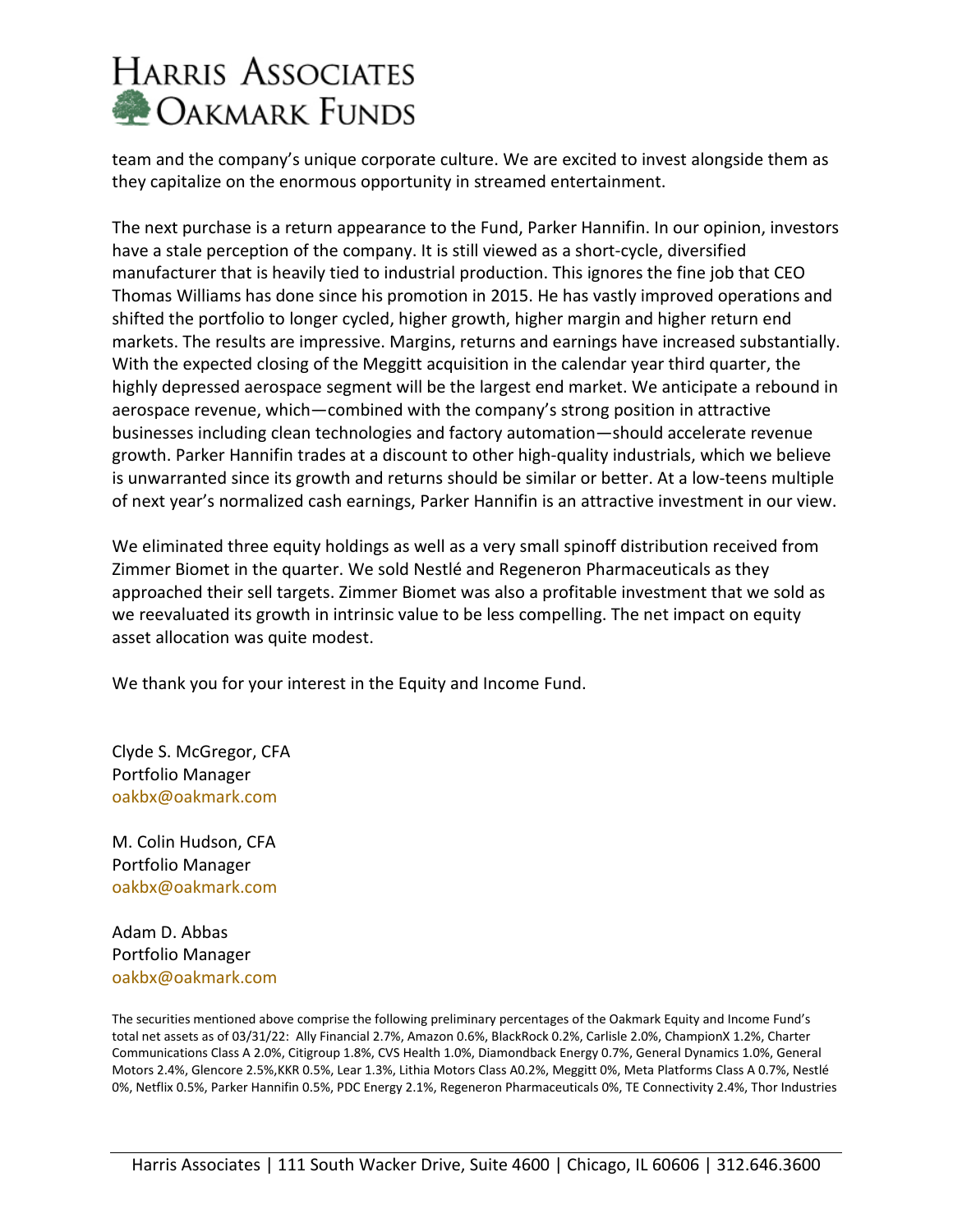team and the company's unique corporate culture. We are excited to invest alongside them as they capitalize on the enormous opportunity in streamed entertainment.

The next purchase is a return appearance to the Fund, Parker Hannifin. In our opinion, investors have a stale perception of the company. It is still viewed as a short-cycle, diversified manufacturer that is heavily tied to industrial production. This ignores the fine job that CEO Thomas Williams has done since his promotion in 2015. He has vastly improved operations and shifted the portfolio to longer cycled, higher growth, higher margin and higher return end markets. The results are impressive. Margins, returns and earnings have increased substantially. With the expected closing of the Meggitt acquisition in the calendar year third quarter, the highly depressed aerospace segment will be the largest end market. We anticipate a rebound in aerospace revenue, which—combined with the company's strong position in attractive businesses including clean technologies and factory automation—should accelerate revenue growth. Parker Hannifin trades at a discount to other high-quality industrials, which we believe is unwarranted since its growth and returns should be similar or better. At a low-teens multiple of next year's normalized cash earnings, Parker Hannifin is an attractive investment in our view.

We eliminated three equity holdings as well as a very small spinoff distribution received from Zimmer Biomet in the quarter. We sold Nestlé and Regeneron Pharmaceuticals as they approached their sell targets. Zimmer Biomet was also a profitable investment that we sold as we reevaluated its growth in intrinsic value to be less compelling. The net impact on equity asset allocation was quite modest.

We thank you for your interest in the Equity and Income Fund.

Clyde S. McGregor, CFA Portfolio Manager [oakbx@oakmark.com](mailto:oakbx@oakmark.com)

M. Colin Hudson, CFA Portfolio Manager [oakbx@oakmark.com](mailto:oakbx@oakmark.com)

Adam D. Abbas Portfolio Manager [oakbx@oakmark.com](mailto:oakbx@oakmark.com)

The securities mentioned above comprise the following preliminary percentages of the Oakmark Equity and Income Fund's total net assets as of 03/31/22: Ally Financial 2.7%, Amazon 0.6%, BlackRock 0.2%, Carlisle 2.0%, ChampionX 1.2%, Charter Communications Class A 2.0%, Citigroup 1.8%, CVS Health 1.0%, Diamondback Energy 0.7%, General Dynamics 1.0%, General Motors 2.4%, Glencore 2.5%,KKR 0.5%, Lear 1.3%, Lithia Motors Class A0.2%, Meggitt 0%, Meta Platforms Class A 0.7%, Nestlé 0%, Netflix 0.5%, Parker Hannifin 0.5%, PDC Energy 2.1%, Regeneron Pharmaceuticals 0%, TE Connectivity 2.4%, Thor Industries